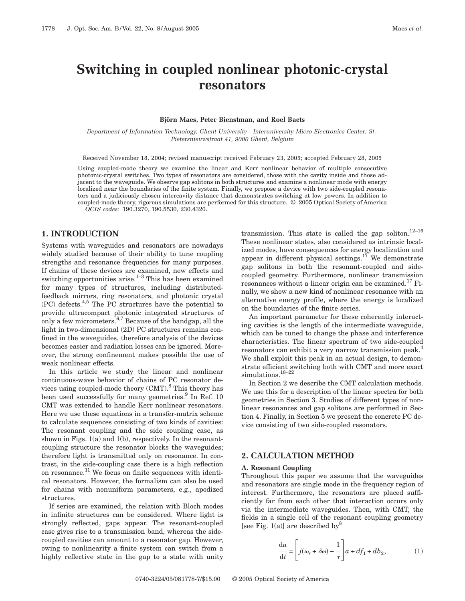# **Switching in coupled nonlinear photonic-crystal resonators**

#### **Björn Maes, Peter Bienstman, and Roel Baets**

*Department of Information Technology, Ghent University—Interuniversity Micro Electronics Center, St.- Pietersnieuwstraat 41, 9000 Ghent, Belgium*

Received November 18, 2004; revised manuscript received February 23, 2005; accepted February 28, 2005

Using coupled-mode theory we examine the linear and Kerr nonlinear behavior of multiple consecutive photonic-crystal switches. Two types of resonators are considered, those with the cavity inside and those adjacent to the waveguide. We observe gap solitons in both structures and examine a nonlinear mode with energy localized near the boundaries of the finite system. Finally, we propose a device with two side-coupled resonators and a judiciously chosen intercavity distance that demonstrates switching at low powers. In addition to coupled-mode theory, rigorous simulations are performed for this structure. © 2005 Optical Society of America *OCIS codes:* 190.3270, 190.5530, 230.4320.

## **1. INTRODUCTION**

Systems with waveguides and resonators are nowadays widely studied because of their ability to tune coupling strengths and resonance frequencies for many purposes. If chains of these devices are examined, new effects and switching opportunities arise. $1-3$  This has been examined for many types of structures, including distributedfeedback mirrors, ring resonators, and photonic crystal  $(PC)$  defects.<sup>4,5</sup> The PC structures have the potential to provide ultracompact photonic integrated structures of only a few micrometers. $6,7$  Because of the bandgap, all the light in two-dimensional (2D) PC structures remains confined in the waveguides, therefore analysis of the devices becomes easier and radiation losses can be ignored. Moreover, the strong confinement makes possible the use of weak nonlinear effects.

In this article we study the linear and nonlinear continuous-wave behavior of chains of PC resonator devices using coupled-mode theory  $(CMT)$ .<sup>8</sup> This theory has been used successfully for many geometries.<sup>9</sup> In Ref. 10 CMT was extended to handle Kerr nonlinear resonators. Here we use these equations in a transfer-matrix scheme to calculate sequences consisting of two kinds of cavities: The resonant coupling and the side coupling case, as shown in Figs.  $1(a)$  and  $1(b)$ , respectively. In the resonantcoupling structure the resonator blocks the waveguides; therefore light is transmitted only on resonance. In contrast, in the side-coupling case there is a high reflection on resonance.11 We focus on finite sequences with identical resonators. However, the formalism can also be used for chains with nonuniform parameters, e.g., apodized structures.

If series are examined, the relation with Bloch modes in infinite structures can be considered. Where light is strongly reflected, gaps appear. The resonant-coupled case gives rise to a transmission band, whereas the sidecoupled cavities can amount to a resonator gap. However, owing to nonlinearity a finite system can switch from a highly reflective state in the gap to a state with unity transmission. This state is called the gap soliton.<sup>12–16</sup> These nonlinear states, also considered as intrinsic localized modes, have consequences for energy localization and appear in different physical settings.<sup>17</sup> We demonstrate gap solitons in both the resonant-coupled and sidecoupled geometry. Furthermore, nonlinear transmission resonances without a linear origin can be examined.<sup>17</sup> Finally, we show a new kind of nonlinear resonance with an alternative energy profile, where the energy is localized on the boundaries of the finite series.

An important parameter for these coherently interacting cavities is the length of the intermediate waveguide, which can be tuned to change the phase and interference characteristics. The linear spectrum of two side-coupled resonators can exhibit a very narrow transmission peak.<sup>4</sup> We shall exploit this peak in an actual design, to demonstrate efficient switching both with CMT and more exact simulations.<sup>18–22</sup>

In Section 2 we describe the CMT calculation methods. We use this for a description of the linear spectra for both geometries in Section 3. Studies of different types of nonlinear resonances and gap solitons are performed in Section 4. Finally, in Section 5 we present the concrete PC device consisting of two side-coupled resonators.

# **2. CALCULATION METHOD**

#### **A. Resonant Coupling**

Throughout this paper we assume that the waveguides and resonators are single mode in the frequency region of interest. Furthermore, the resonators are placed sufficiently far from each other that interaction occurs only via the intermediate waveguides. Then, with CMT, the fields in a single cell of the resonant coupling geometry [see Fig. 1(a)] are described by<sup>8</sup>

$$
\frac{da}{dt} = \left[ j(\omega_r + \delta \omega) - \frac{1}{\tau} \right] a + df_1 + db_2, \tag{1}
$$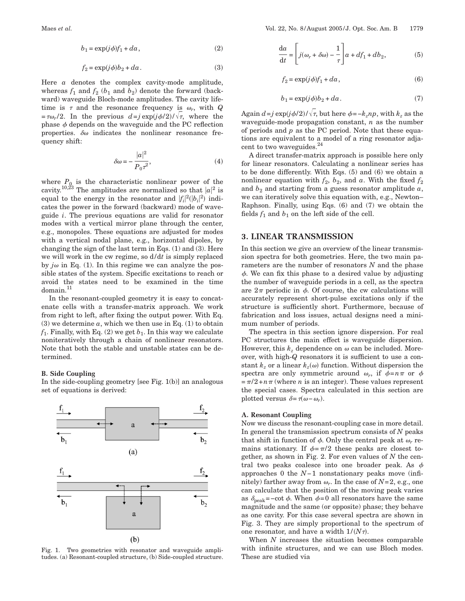$$
b_1 = \exp(j\phi)f_1 + da\,,\tag{2}
$$

$$
f_2 = \exp(j\phi)b_2 + da. \tag{3}
$$

Here *a* denotes the complex cavity-mode amplitude, whereas  $f_1$  and  $f_2$  ( $b_1$  and  $b_2$ ) denote the forward (backward) waveguide Bloch-mode amplitudes. The cavity lifetime is  $\tau$  and the resonance frequency is  $\omega_r$ , with *Q*  $=\tau \omega_r/2$ . In the previous  $d=j \exp(j\phi/2)/\sqrt{\tau}$ , where the phase  $\phi$  depends on the waveguide and the PC reflection properties.  $\delta\omega$  indicates the nonlinear resonance frequency shift:

$$
\delta \omega = -\frac{|a|^2}{P_0 \tau^2},\tag{4}
$$

where  $P_0$  is the characteristic nonlinear power of the cavity.<sup>10,23</sup> The amplitudes are normalized so that  $|a|^2$  is equal to the energy in the resonator and  $|f_i|^2(|b_i|^2)$  indicates the power in the forward (backward) mode of waveguide *i*. The previous equations are valid for resonator modes with a vertical mirror plane through the center, e.g., monopoles. These equations are adjusted for modes with a vertical nodal plane, e.g., horizontal dipoles, by changing the sign of the last term in Eqs.  $(1)$  and  $(3)$ . Here we will work in the cw regime, so d/d*t* is simply replaced by  $j\omega$  in Eq. (1). In this regime we can analyze the possible states of the system. Specific excitations to reach or avoid the states need to be examined in the time domain.<sup>11</sup>

In the resonant-coupled geometry it is easy to concatenate cells with a transfer-matrix approach. We work from right to left, after fixing the output power. With Eq.  $(3)$  we determine  $\alpha$ , which we then use in Eq.  $(1)$  to obtain  $f_1$ . Finally, with Eq. (2) we get  $b_1$ . In this way we calculate noniteratively through a chain of nonlinear resonators. Note that both the stable and unstable states can be determined.

#### **B. Side Coupling**

In the side-coupling geometry [see Fig. 1(b)] an analogous set of equations is derived:



Fig. 1. Two geometries with resonator and waveguide amplitudes. (a) Resonant-coupled structure, (b) Side-coupled structure.

$$
\frac{da}{dt} = \left[ j(\omega_r + \delta \omega) - \frac{1}{\tau} \right] a + df_1 + db_2, \tag{5}
$$

$$
f_2 = \exp(j\phi)f_1 + da\,,\tag{6}
$$

$$
b_1 = \exp(j\phi)b_2 + da\,. \tag{7}
$$

Again  $d = j \exp(j\phi/2) / \sqrt{\tau}$ , but here  $\phi = -k_z np$ , with  $k_z$  as the waveguide-mode propagation constant, *n* as the number of periods and *p* as the PC period. Note that these equations are equivalent to a model of a ring resonator adjacent to two waveguides.<sup>24</sup>

A direct transfer-matrix approach is possible here only for linear resonators. Calculating a nonlinear series has to be done differently. With Eqs. (5) and (6) we obtain a nonlinear equation with  $f_2$ ,  $b_2$ , and  $a$ . With the fixed  $f_2$ and  $b_2$  and starting from a guess resonator amplitude  $a$ , we can iteratively solve this equation with, e.g., Newton– Raphson. Finally, using Eqs. (6) and (7) we obtain the fields  $f_1$  and  $b_1$  on the left side of the cell.

## **3. LINEAR TRANSMISSION**

In this section we give an overview of the linear transmission spectra for both geometries. Here, the two main parameters are the number of resonators *N* and the phase  $\phi$ . We can fix this phase to a desired value by adjusting the number of waveguide periods in a cell, as the spectra are  $2\pi$  periodic in  $\phi$ . Of course, the cw calculations will accurately represent short-pulse excitations only if the structure is sufficiently short. Furthermore, because of fabrication and loss issues, actual designs need a minimum number of periods.

The spectra in this section ignore dispersion. For real PC structures the main effect is waveguide dispersion. However, this  $k_z$  dependence on  $\omega$  can be included. Moreover, with high-*Q* resonators it is sufficient to use a constant  $k_z$  or a linear  $k_z(\omega)$  function. Without dispersion the spectra are only symmetric around  $\omega_r$ , if  $\phi = n\pi$  or  $\phi$  $=\pi/2+n\pi$  (where *n* is an integer). These values represent the special cases. Spectra calculated in this section are plotted versus  $\delta = \tau(\omega - \omega_r)$ .

#### **A. Resonant Coupling**

Now we discuss the resonant-coupling case in more detail. In general the transmission spectrum consists of *N* peaks that shift in function of  $\phi$ . Only the central peak at  $\omega_r$  remains stationary. If  $\phi = \pi/2$  these peaks are closest together, as shown in Fig. 2. For even values of *N* the central two peaks coalesce into one broader peak. As  $\phi$ approaches 0 the *N*−1 nonstationary peaks move (infinitely) farther away from  $\omega_r$ . In the case of  $N=2$ , e.g., one can calculate that the position of the moving peak varies as  $\delta_{\text{peak}}$ =-cot  $\phi$ . When  $\phi$ =0 all resonators have the same magnitude and the same (or opposite) phase; they behave as one cavity. For this case several spectra are shown in Fig. 3. They are simply proportional to the spectrum of one resonator, and have a width  $1/(N\tau)$ .

When *N* increases the situation becomes comparable with infinite structures, and we can use Bloch modes. These are studied via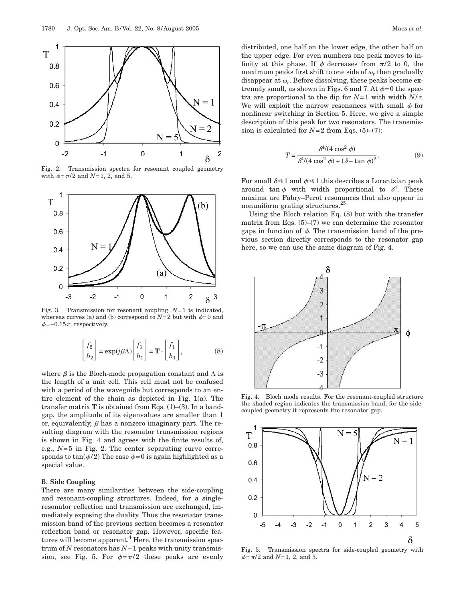

Fig. 2. Transmission spectra for resonant coupled geometry with  $\phi = \pi/2$  and *N*=1, 2, and 5.



Fig. 3. Transmission for resonant coupling. *N*=1 is indicated, whereas curves (a) and (b) correspond to  $N=2$  but with  $\phi=0$  and  $\phi$ =−0.15 $\pi$ , respectively.

$$
\begin{bmatrix} f_2 \\ b_2 \end{bmatrix} = \exp(j\beta \Lambda) \begin{bmatrix} f_1 \\ b_1 \end{bmatrix} = \mathbf{T} \cdot \begin{bmatrix} f_1 \\ b_1 \end{bmatrix},
$$
 (8)

where  $\beta$  is the Bloch-mode propagation constant and  $\Lambda$  is the length of a unit cell. This cell must not be confused with a period of the waveguide but corresponds to an entire element of the chain as depicted in Fig. 1(a). The transfer matrix  $T$  is obtained from Eqs.  $(1)$ – $(3)$ . In a bandgap, the amplitude of its eigenvalues are smaller than 1 or, equivalently,  $\beta$  has a nonzero imaginary part. The resulting diagram with the resonator transmission regions is shown in Fig. 4 and agrees with the finite results of, e.g.,  $N=5$  in Fig. 2. The center separating curve corresponds to tan( $\phi/2$ ) The case  $\phi=0$  is again highlighted as a special value.

## **B. Side Coupling**

There are many similarities between the side-coupling and resonant-coupling structures. Indeed, for a singleresonator reflection and transmission are exchanged, immediately exposing the duality. Thus the resonator transmission band of the previous section becomes a resonator reflection band or resonator gap. However, specific features will become apparent.<sup>4</sup> Here, the transmission spectrum of *N* resonators has *N*−1 peaks with unity transmission, see Fig. 5. For  $\phi = \pi/2$  these peaks are evenly

distributed, one half on the lower edge, the other half on the upper edge. For even numbers one peak moves to infinity at this phase. If  $\phi$  decreases from  $\pi/2$  to 0, the maximum peaks first shift to one side of  $\omega_r$ , then gradually disappear at  $\omega_r$ . Before dissolving, these peaks become extremely small, as shown in Figs. 6 and 7. At  $\phi = 0$  the spectra are proportional to the dip for  $N=1$  with width  $N/\tau$ . We will exploit the narrow resonances with small  $\phi$  for nonlinear switching in Section 5. Here, we give a simple description of this peak for two resonators. The transmission is calculated for  $N=2$  from Eqs. (5)–(7):

$$
T = \frac{\delta^4/(4\cos^2\phi)}{\delta^4/(4\cos^2\phi) + (\delta - \tan\phi)^2}.
$$
 (9)

For small  $\delta \lessdot 1$  and  $\phi \lessdot 1$  this describes a Lorentzian peak around tan  $\phi$  with width proportional to  $\delta^4$ . These maxima are Fabry–Perot resonances that also appear in nonuniform grating structures.25

Using the Bloch relation Eq. (8) but with the transfer matrix from Eqs.  $(5)$ – $(7)$  we can determine the resonator gaps in function of  $\phi$ . The transmission band of the previous section directly corresponds to the resonator gap here, so we can use the same diagram of Fig. 4.



Fig. 4. Bloch mode results. For the resonant-coupled structure the shaded region indicates the transmission band; for the sidecoupled geometry it represents the resonator gap.



Fig. 5. Transmission spectra for side-coupled geometry with  $\phi = \pi/2$  and *N*=1, 2, and 5.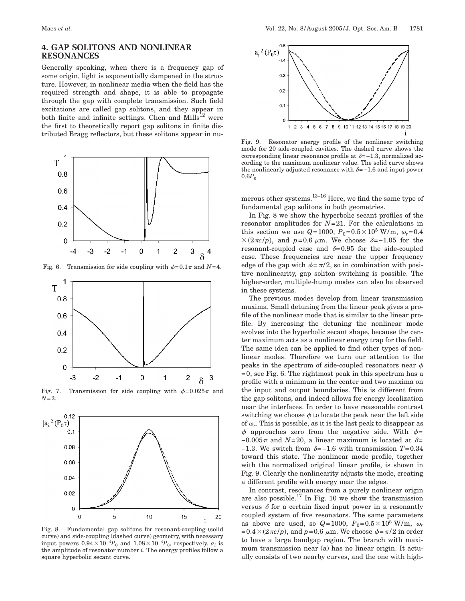## **4. GAP SOLITONS AND NONLINEAR RESONANCES**

Generally speaking, when there is a frequency gap of some origin, light is exponentially dampened in the structure. However, in nonlinear media when the field has the required strength and shape, it is able to propagate through the gap with complete transmission. Such field excitations are called gap solitons, and they appear in both finite and infinite settings. Chen and  $Mills^{12}$  were the first to theoretically report gap solitons in finite distributed Bragg reflectors, but these solitons appear in nu-



Fig. 6. Transmission for side coupling with  $\phi = 0.1 \pi$  and  $N=4$ .



Fig. 7. Transmission for side coupling with  $\phi=0.025\pi$  and *N*=2.



Fig. 8. Fundamental gap solitons for resonant-coupling (solid curve) and side-coupling (dashed curve) geometry, with necessary input powers  $0.94 \times 10^{-4}P_0$  and  $1.08 \times 10^{-4}P_0$ , respectively.  $a_i$  is the amplitude of resonator number *i*. The energy profiles follow a square hyperbolic secant curve.



Fig. 9. Resonator energy profile of the nonlinear switching mode for 20 side-coupled cavities. The dashed curve shows the corresponding linear resonance profile at  $\delta = -1.3$ , normalized according to the maximum nonlinear value. The solid curve shows the nonlinearly adjusted resonance with  $\delta = -1.6$  and input power  $0.6P_0$ .

merous other systems. $^{13-16}$  Here, we find the same type of fundamental gap solitons in both geometries.

In Fig. 8 we show the hyperbolic secant profiles of the resonator amplitudes for *N*=21. For the calculations in this section we use  $Q=1000$ ,  $P_0=0.5\times10^5$  W/m,  $\omega_r=0.4$  $\times$ (2 $\pi c/p$ ), and p=0.6  $\mu$ m. We choose  $\delta$ =-1.05 for the resonant-coupled case and  $\delta = 0.95$  for the side-coupled case. These frequencies are near the upper frequency edge of the gap with  $\phi = \pi/2$ , so in combination with positive nonlinearity, gap soliton switching is possible. The higher-order, multiple-hump modes can also be observed in these systems.

The previous modes develop from linear transmission maxima. Small detuning from the linear peak gives a profile of the nonlinear mode that is similar to the linear profile. By increasing the detuning the nonlinear mode evolves into the hyperbolic secant shape, because the center maximum acts as a nonlinear energy trap for the field. The same idea can be applied to find other types of nonlinear modes. Therefore we turn our attention to the peaks in the spectrum of side-coupled resonators near  $\phi$  $=0$ , see Fig. 6. The rightmost peak in this spectrum has a profile with a minimum in the center and two maxima on the input and output boundaries. This is different from the gap solitons, and indeed allows for energy localization near the interfaces. In order to have reasonable contrast switching we choose  $\phi$  to locate the peak near the left side of  $\omega_r$ . This is possible, as it is the last peak to disappear as  $\phi$  approaches zero from the negative side. With  $\phi$ =  $-0.005\pi$  and *N*=20, a linear maximum is located at  $\delta$ =  $-1.3$ . We switch from  $\delta = -1.6$  with transmission  $T = 0.34$ toward this state. The nonlinear mode profile, together with the normalized original linear profile, is shown in Fig. 9. Clearly the nonlinearity adjusts the mode, creating a different profile with energy near the edges.

In contrast, resonances from a purely nonlinear origin are also possible.<sup>17</sup> In Fig. 10 we show the transmission versus  $\delta$  for a certain fixed input power in a resonantly coupled system of five resonators. The same parameters as above are used, so  $Q=1000$ ,  $P_0=0.5\times10^5$  W/m,  $\omega_r$  $=0.4\times(2\pi c/p)$ , and  $p=0.6\ \mu$ m. We choose  $\phi=\pi/2$  in order to have a large bandgap region. The branch with maximum transmission near (a) has no linear origin. It actually consists of two nearby curves, and the one with high-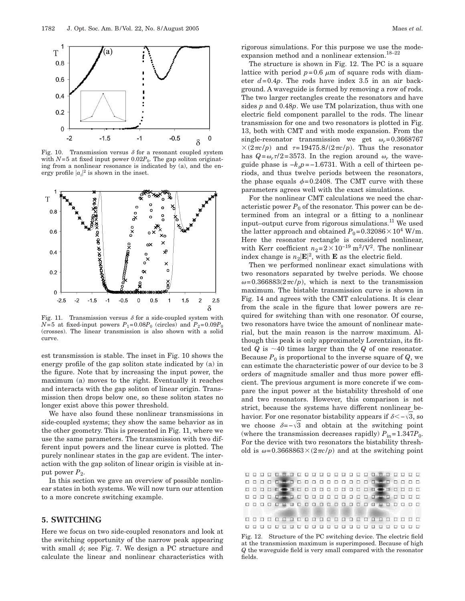

Fig. 10. Transmission versus  $\delta$  for a resonant coupled system with  $N=5$  at fixed input power 0.02 $P_0$ . The gap soliton originating from a nonlinear resonance is indicated by (a), and the energy profile  $|a_i|^2$  is shown in the inset.



Fig. 11. Transmission versus  $\delta$  for a side-coupled system with  $N=5$  at fixed-input powers  $P_1=0.08P_0$  (circles) and  $P_2=0.09P_0$ (crosses). The linear transmission is also shown with a solid curve.

est transmission is stable. The inset in Fig. 10 shows the energy profile of the gap soliton state indicated by (a) in the figure. Note that by increasing the input power, the maximum (a) moves to the right. Eventually it reaches and interacts with the gap soliton of linear origin. Transmission then drops below one, so these soliton states no longer exist above this power threshold.

We have also found these nonlinear transmissions in side-coupled systems; they show the same behavior as in the other geometry. This is presented in Fig. 11, where we use the same parameters. The transmission with two different input powers and the linear curve is plotted. The purely nonlinear states in the gap are evident. The interaction with the gap soliton of linear origin is visible at input power  $P_2$ .

In this section we gave an overview of possible nonlinear states in both systems. We will now turn our attention to a more concrete switching example.

## **5. SWITCHING**

Here we focus on two side-coupled resonators and look at the switching opportunity of the narrow peak appearing with small  $\phi$ ; see Fig. 7. We design a PC structure and calculate the linear and nonlinear characteristics with rigorous simulations. For this purpose we use the modeexpansion method and a nonlinear extension. $18-22$ 

The structure is shown in Fig. 12. The PC is a square lattice with period  $p=0.6 \mu m$  of square rods with diameter  $d=0.4p$ . The rods have index 3.5 in an air background. A waveguide is formed by removing a row of rods. The two larger rectangles create the resonators and have sides *p* and 0.48*p*. We use TM polarization, thus with one electric field component parallel to the rods. The linear transmission for one and two resonators is plotted in Fig. 13, both with CMT and with mode expansion. From the single-resonator transmission we get  $\omega_r$ =0.3668767  $\times$  (2 $\pi c/p$ ) and  $\tau$ =19475.8/(2 $\pi c/p$ ). Thus the resonator has  $Q = \omega_r \tau/2 = 3573$ . In the region around  $\omega_r$  the waveguide phase is −*kzp*=−1.6731. With a cell of thirteen periods, and thus twelve periods between the resonators, the phase equals  $\phi$ =0.2408. The CMT curve with these parameters agrees well with the exact simulations.

For the nonlinear CMT calculations we need the characteristic power  $P_0$  of the resonator. This power can be determined from an integral or a fitting to a nonlinear input–output curve from rigorous simulations.11 We used the latter approach and obtained  $P_0$ =0.32086 $\times$ 10<sup>4</sup> W/m. Here the resonator rectangle is considered nonlinear, with Kerr coefficient  $n_2=2\times10^{-19}$  m<sup>2</sup>/V<sup>2</sup>. The nonlinear index change is  $n_2$ **E** $|^2$ , with **E** as the electric field.

Then we performed nonlinear exact simulations with two resonators separated by twelve periods. We choose  $\omega = 0.366883(2\pi c/p)$ , which is next to the transmission maximum. The bistable transmission curve is shown in Fig. 14 and agrees with the CMT calculations. It is clear from the scale in the figure that lower powers are required for switching than with one resonator. Of course, two resonators have twice the amount of nonlinear material, but the main reason is the narrow maximum. Although this peak is only approximately Lorentzian, its fitted  $Q$  is  $\sim$  40 times larger than the  $Q$  of one resonator. Because  $P_0$  is proportional to the inverse square of  $Q$ , we can estimate the characteristic power of our device to be 3 orders of magnitude smaller and thus more power efficient. The previous argument is more concrete if we compare the input power at the bistability threshold of one and two resonators. However, this comparison is not strict, because the systems have different nonlinear behavior. For one resonator bistability appears if  $\delta < -\sqrt{3}$ , so we choose  $\delta = -\sqrt{3}$  and obtain at the switching point (where the transmission decreases rapidly)  $P_{in} = 1.347 P_0$ . For the device with two resonators the bistability threshold is  $\omega = 0.3668863 \times (2\pi c/p)$  and at the switching point

|  |  |  |  |  |  |  |  |  |  |  | 0000000000000000000000    |  |
|--|--|--|--|--|--|--|--|--|--|--|---------------------------|--|
|  |  |  |  |  |  |  |  |  |  |  | 0000000000000000000000    |  |
|  |  |  |  |  |  |  |  |  |  |  | 00000000000000000000000   |  |
|  |  |  |  |  |  |  |  |  |  |  | 0000000000000000000000    |  |
|  |  |  |  |  |  |  |  |  |  |  |                           |  |
|  |  |  |  |  |  |  |  |  |  |  | 0000000000000000000000    |  |
|  |  |  |  |  |  |  |  |  |  |  | 0000000000000000000000000 |  |
|  |  |  |  |  |  |  |  |  |  |  |                           |  |

Fig. 12. Structure of the PC switching device. The electric field at the transmission maximum is superimposed. Because of high *Q* the waveguide field is very small compared with the resonator fields.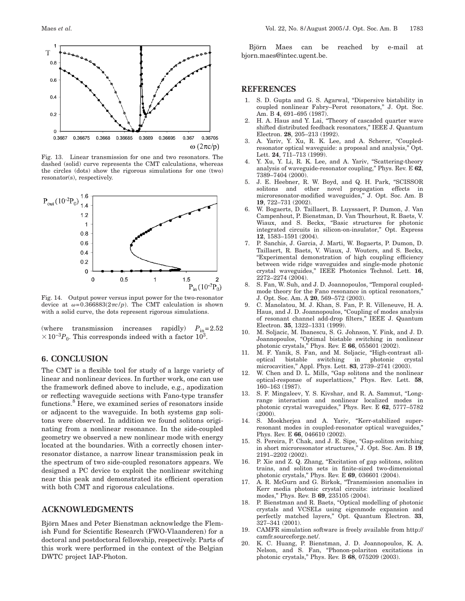

Fig. 13. Linear transmission for one and two resonators. The dashed (solid) curve represents the CMT calculations, whereas the circles (dots) show the rigorous simulations for one (two) resonator(s), respectively.



Fig. 14. Output power versus input power for the two-resonator device at  $\omega = 0.366883(2\pi c/p)$ . The CMT calculation is shown with a solid curve, the dots represent rigorous simulations.

(where transmission increases rapidly)  $P_{in}=2.52$  $\times 10^{-3}P_0$ . This corresponds indeed with a factor 10<sup>3</sup>.

# **6. CONCLUSION**

The CMT is a flexible tool for study of a large variety of linear and nonlinear devices. In further work, one can use the framework defined above to include, e.g., apodization or reflecting waveguide sections with Fano-type transfer functions.<sup>8</sup> Here, we examined series of resonators inside or adjacent to the waveguide. In both systems gap solitons were observed. In addition we found solitons originating from a nonlinear resonance. In the side-coupled geometry we observed a new nonlinear mode with energy located at the boundaries. With a correctly chosen interresonator distance, a narrow linear transmission peak in the spectrum of two side-coupled resonators appears. We designed a PC device to exploit the nonlinear switching near this peak and demonstrated its efficient operation with both CMT and rigorous calculations.

## **ACKNOWLEDGMENTS**

Björn Maes and Peter Bienstman acknowledge the Flemish Fund for Scientific Research (FWO-Vlaanderen) for a doctoral and postdoctoral fellowship, respectively. Parts of this work were performed in the context of the Belgian DWTC project IAP-Photon.

Björn Maes can be reached by e-mail at bjorn.maes@intec.ugent.be.

#### **REFERENCES**

- 1. S. D. Gupta and G. S. Agarwal, "Dispersive bistability in coupled nonlinear Fabry–Perot resonators," J. Opt. Soc. Am. B **4**, 691–695 (1987).
- 2. H. A. Haus and Y. Lai, "Theory of cascaded quarter wave shifted distributed feedback resonators," IEEE J. Quantum Electron. **28**, 205–213 (1992).
- 3. A. Yariv, Y. Xu, R. K. Lee, and A. Scherer, "Coupledresonator optical waveguide: a proposal and analysis," Opt. Lett. **24**, 711–713 (1999).
- Y. Xu, Y. Li, R. K. Lee, and A. Yariv, "Scattering-theory analysis of waveguide-resonator coupling," Phys. Rev. E **62**, 7389–7404 (2000).
- 5. J. E. Heebner, R. W. Boyd, and Q. H. Park, "SCISSOR solitons and other novel propagation effects in microresonator-modified waveguides," J. Opt. Soc. Am. B **19**, 722–731 (2002).
- 6. W. Bogaerts, D. Taillaert, B. Luyssaert, P. Dumon, J. Van Campenhout, P. Bienstman, D. Van Thourhout, R. Baets, V. Wiaux, and S. Beckx, "Basic structures for photonic integrated circuits in silicon-on-insulator," Opt. Express **12**, 1583–1591 (2004).
- 7. P. Sanchis, J. Garcia, J. Marti, W. Bogaerts, P. Dumon, D. Taillaert, R. Baets, V. Wiaux, J. Wouters, and S. Beckx, "Experimental demonstration of high coupling efficiency between wide ridge waveguides and single-mode photonic crystal waveguides," IEEE Photonics Technol. Lett. **16**, 2272–2274 (2004).
- 8. S. Fan, W. Suh, and J. D. Joannopoulos, "Temporal coupledmode theory for the Fano resonance in optical resonators," J. Opt. Soc. Am. A **20**, 569–572 (2003).
- 9. C. Manolatou, M. J. Khan, S. Fan, P. R. Villeneuve, H. A. Haus, and J. D. Joannopoulos, "Coupling of modes analysis of resonant channel add-drop filters," IEEE J. Quantum Electron. **35**, 1322–1331 (1999).
- 10. M. Soljacic, M. Ibanescu, S. G. Johnson, Y. Fink, and J. D. Joannopoulos, "Optimal bistable switching in nonlinear photonic crystals," Phys. Rev. E **66**, 055601 (2002).
- 11. M. F. Yanik, S. Fan, and M. Soljacic, "High-contrast alloptical bistable switching in photonic crystal microcavities," Appl. Phys. Lett. **83**, 2739–2741 (2003).
- 12. W. Chen and D. L. Mills, "Gap solitons and the nonlinear optical-response of superlattices," Phys. Rev. Lett. **58**, 160–163 (1987).
- 13. S. F. Mingaleev, Y. S. Kivshar, and R. A. Sammut, "Longrange interaction and nonlinear localized modes in photonic crystal waveguides," Phys. Rev. E **62**, 5777–5782 (2000).
- 14. S. Mookherjea and A. Yariv, "Kerr-stabilized superresonant modes in coupled-resonator optical waveguides," Phys. Rev. E **66**, 046610 (2002).
- 15. S. Pereira, P. Chak, and J. E. Sipe, "Gap-soliton switching in short microresonator structures," J. Opt. Soc. Am. B **19**, 2191–2202 (2002).
- 16. P. Xie and Z. Q. Zhang, "Excitation of gap solitons, soliton trains, and soliton sets in finite-sized two-dimensional photonic crystals," Phys. Rev. E **69**, 036601 (2004).
- 17. A. R. McGurn and G. Birkok, "Transmission anomalies in Kerr media photonic crystal circuits: intrinsic localized modes," Phys. Rev. B **69**, 235105 (2004).
- 18. P. Bienstman and R. Baets, "Optical modelling of photonic crystals and VCSELs using eigenmode expansion and perfectly matched layers," Opt. Quantum Electron. **33**, 327–341 (2001).
- 19. CAMFR simulation software is freely available from http:// camfr.sourceforge.net/.
- 20. K. C. Huang, P. Bienstman, J. D. Joannopoulos, K. A. Nelson, and S. Fan, "Phonon-polariton excitations in photonic crystals," Phys. Rev. B **68**, 075209 (2003).